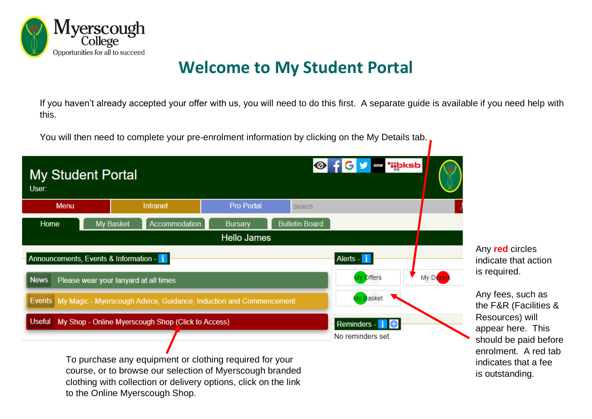

# **Welcome to My Student Portal**

If you haven't already accepted your offer with us, you will need to do this first. A separate guide is available if you need help with this.

You will then need to complete your pre-enrolment information by clicking on the My Details tab.

| <b>My Student Portal</b><br>User:                                   |           |                                                                           |                    |                       | <b>Of Cy &amp; ""bksb</b> |         |
|---------------------------------------------------------------------|-----------|---------------------------------------------------------------------------|--------------------|-----------------------|---------------------------|---------|
| <b>Menu</b>                                                         |           | <b>Intranet</b>                                                           | <b>Pro Portal</b>  | Search                |                           |         |
| Home                                                                | My Basket | Accommodation                                                             | <b>Bursary</b>     | <b>Bulletin Board</b> |                           |         |
|                                                                     |           |                                                                           | <b>Hello James</b> |                       |                           |         |
| Announcements, Events & Information - i                             |           |                                                                           |                    |                       | Alerts - i                |         |
| <b>News</b>                                                         |           | Please wear your lanyard at all times                                     |                    |                       | My Offers                 | My Deta |
|                                                                     |           | Events My Magic - Myerscough Advice, Guidance, Induction and Commencement |                    |                       | иу <mark>B</mark> asket   |         |
| <b>Useful</b><br>My Shop - Online Myerscough Shop (Click to Access) |           |                                                                           |                    | Reminders - i         |                           |         |
|                                                                     |           | To purchase any equipment or clothing required for your                   |                    |                       | No reminders set.         |         |

Any **red** circles indicate that action is required.

Any fees, such as the F&R (Facilities & Resources) will appear here. This should be paid before enrolment. A red tab indicates that a fee is outstanding.

course, or to browse our selection of Myerscough branded clothing with collection or delivery options, click on the link to the Online Myerscough Shop.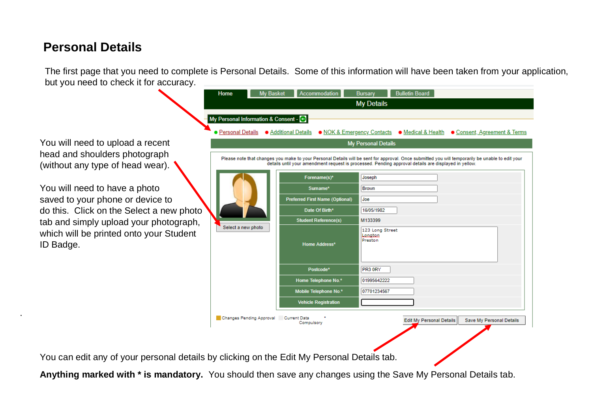## **Personal Details**

The first page that you need to complete is Personal Details. Some of this information will have been taken from your application, but you need to check it for accuracy.

You will need to upload a recent head and shoulders photograph (without any type of head wear).

.

You will need to have a photo saved to your phone or device to do this. Click on the Select a new photo tab and simply upload your photograph, which will be printed onto your Student ID Badge.

| Home                                  | <b>My Basket</b> | <b>Accommodation</b>                   | <b>Bulletin Board</b><br><b>Bursary</b>                                                                                                                                                                                                                  |
|---------------------------------------|------------------|----------------------------------------|----------------------------------------------------------------------------------------------------------------------------------------------------------------------------------------------------------------------------------------------------------|
|                                       |                  |                                        | <b>My Details</b>                                                                                                                                                                                                                                        |
| My Personal Information & Consent - C |                  |                                        |                                                                                                                                                                                                                                                          |
|                                       |                  |                                        | • Personal Details • Additional Details • NOK & Emergency Contacts • Medical & Health • Consent, Agreement & Terms                                                                                                                                       |
|                                       |                  |                                        | <b>My Personal Details</b>                                                                                                                                                                                                                               |
|                                       |                  |                                        | Please note that changes you make to your Personal Details will be sent for approval. Once submitted you will temporarily be unable to edit your<br>details until your amendment request is processed. Pending approval details are displayed in yellow. |
|                                       |                  | Forename(s)*                           | Joseph                                                                                                                                                                                                                                                   |
|                                       |                  | Sumame*                                | <b>Brown</b>                                                                                                                                                                                                                                             |
|                                       |                  | <b>Preferred First Name (Optional)</b> | Joe                                                                                                                                                                                                                                                      |
|                                       |                  | Date Of Birth*                         | 16/05/1982                                                                                                                                                                                                                                               |
| Select a new photo                    |                  | <b>Student Reference(s)</b>            | M133399                                                                                                                                                                                                                                                  |
|                                       |                  | Home Address*                          | 123 Long Street<br>Longton<br>Preston                                                                                                                                                                                                                    |
|                                       |                  | Postcode*                              | PR3 0RY                                                                                                                                                                                                                                                  |
|                                       |                  | Home Telephone No.*                    | 01995642222                                                                                                                                                                                                                                              |
|                                       |                  | Mobile Telephone No.*                  | 07701234567                                                                                                                                                                                                                                              |
|                                       |                  | <b>Vehicle Registration</b>            |                                                                                                                                                                                                                                                          |
| Changes Pending Approval Current Data |                  | Compulsory                             | Save My Personal Details<br><b>Edit My Personal Details</b>                                                                                                                                                                                              |

You can edit any of your personal details by clicking on the Edit My Personal Details tab.

**Anything marked with \* is mandatory.** You should then save any changes using the Save My Personal Details tab.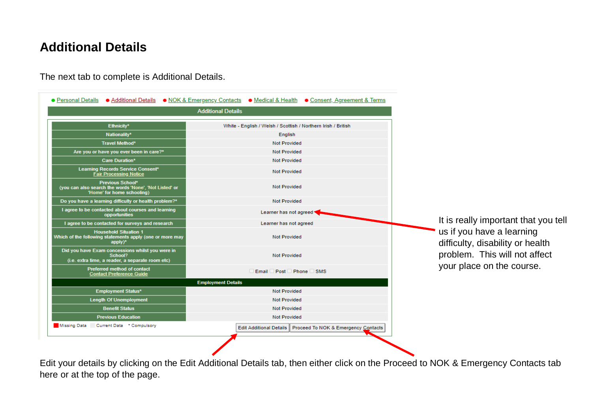## **Additional Details**

The next tab to complete is Additional Details.

|                                                                                                                 | <b>Additional Details</b>                                             |                                                               |
|-----------------------------------------------------------------------------------------------------------------|-----------------------------------------------------------------------|---------------------------------------------------------------|
| Ethnicity*                                                                                                      | White - English / Welsh / Scottish / Northern Irish / British         |                                                               |
| Nationality*                                                                                                    | English                                                               |                                                               |
| Travel Method*                                                                                                  | <b>Not Provided</b>                                                   |                                                               |
| Are you or have you ever been in care?*                                                                         | <b>Not Provided</b>                                                   |                                                               |
| Care Duration*                                                                                                  | <b>Not Provided</b>                                                   |                                                               |
| Learning Records Service Consent*<br><b>Fair Processing Notice</b>                                              | <b>Not Provided</b>                                                   |                                                               |
| Previous School*<br>(you can also search the words 'None', 'Not Listed' or<br>'Home' for home schooling)        | <b>Not Provided</b>                                                   |                                                               |
| Do you have a learning difficulty or health problem?*                                                           | <b>Not Provided</b>                                                   |                                                               |
| I agree to be contacted about courses and learning<br>opportunities                                             | Learner has not agreed                                                |                                                               |
| I agree to be contacted for surveys and research                                                                | Learner has not agreed                                                | It is really important that you tell                          |
| <b>Household Situation 1</b><br>Which of the following statements apply (one or more may<br>apply)*             | <b>Not Provided</b>                                                   | us if you have a learning<br>difficulty, disability or health |
| Did you have Exam concessions whilst you were in<br>School?<br>(i.e. extra time, a reader, a separate room etc) | problem. This will not affect<br><b>Not Provided</b>                  |                                                               |
| Preferred method of contact<br><b>Contact Preference Guide</b>                                                  | Email Post Phone SMS                                                  | your place on the course.                                     |
|                                                                                                                 | <b>Employment Details</b>                                             |                                                               |
| Employment Status*                                                                                              | <b>Not Provided</b>                                                   |                                                               |
| <b>Length Of Unemployment</b>                                                                                   | <b>Not Provided</b>                                                   |                                                               |
| <b>Benefit Status</b>                                                                                           | <b>Not Provided</b>                                                   |                                                               |
| <b>Previous Education</b>                                                                                       | <b>Not Provided</b>                                                   |                                                               |
| Missing Data<br>Current Data * Compulsory                                                                       | <b>Edit Additional Details</b><br>Proceed To NOK & Emergency Contacts |                                                               |

Edit your details by clicking on the Edit Additional Details tab, then either click on the Proceed to NOK & Emergency Contacts tab here or at the top of the page.

 $\sqrt{2}$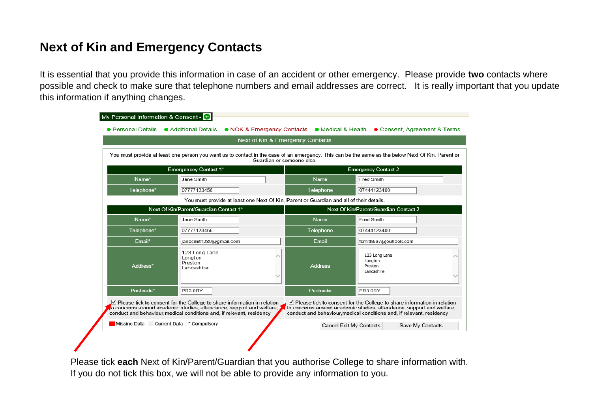# **Next of Kin and Emergency Contacts**

It is essential that you provide this information in case of an accident or other emergency. Please provide **two** contacts where possible and check to make sure that telephone numbers and email addresses are correct. It is really important that you update this information if anything changes.

|                                                                                         | Next of Kin & Emergency Contacts                                                                                                                                                                                           |                |                                                                                                                                                                                                                            |  |
|-----------------------------------------------------------------------------------------|----------------------------------------------------------------------------------------------------------------------------------------------------------------------------------------------------------------------------|----------------|----------------------------------------------------------------------------------------------------------------------------------------------------------------------------------------------------------------------------|--|
|                                                                                         | You must provide at least one person you want us to contact in the case of an emergency. This can be the same as the below Next Of Kin, Parent or<br>Guardian or someone else.                                             |                |                                                                                                                                                                                                                            |  |
|                                                                                         | <b>Emergencey Contact 1*</b>                                                                                                                                                                                               |                | <b>Emergency Contact 2</b>                                                                                                                                                                                                 |  |
| Name*                                                                                   | Jane Smith                                                                                                                                                                                                                 | <b>Name</b>    | Fred Smith                                                                                                                                                                                                                 |  |
| Telephone*                                                                              | 07777123456                                                                                                                                                                                                                | Telephone      | 07444123400                                                                                                                                                                                                                |  |
| You must provide at least one Next Of Kin, Parent or Guardian and all of their details. |                                                                                                                                                                                                                            |                |                                                                                                                                                                                                                            |  |
|                                                                                         | Next Of Kin/Parent/Guardian Contact 1*                                                                                                                                                                                     |                | Next Of Kin/Parent/Guardian Contact 2                                                                                                                                                                                      |  |
| Name*                                                                                   | Jane Smith                                                                                                                                                                                                                 | <b>Name</b>    | Fred Smith                                                                                                                                                                                                                 |  |
| Telephone*                                                                              | 07777123456                                                                                                                                                                                                                | Telephone      | 07444123400                                                                                                                                                                                                                |  |
| Email*                                                                                  | janesmith289@gmail.com                                                                                                                                                                                                     | Email          | fsmith567@outlook.com                                                                                                                                                                                                      |  |
| Address*                                                                                | 123 Long Lane<br>Longton<br>Preston<br>Lancashire                                                                                                                                                                          | <b>Address</b> | 123 Long Lane<br>Longton<br>Preston<br>Lancashire                                                                                                                                                                          |  |
| Postcode*                                                                               | PR3 0RY                                                                                                                                                                                                                    | Postcode       | PR3 0RY                                                                                                                                                                                                                    |  |
|                                                                                         | ○ Please tick to consent for the College to share information in relation<br>to concerns around academic studies, attendance, support and welfare,<br>conduct and behaviour medical conditions and, if relevant, residency |                | ☑ Please tick to consent for the College to share information in relation<br>to concerns around academic studies, attendance, support and welfare,<br>conduct and behaviour medical conditions and, if relevant, residency |  |
|                                                                                         |                                                                                                                                                                                                                            |                |                                                                                                                                                                                                                            |  |

Please tick **each** Next of Kin/Parent/Guardian that you authorise College to share information with. If you do not tick this box, we will not be able to provide any information to you.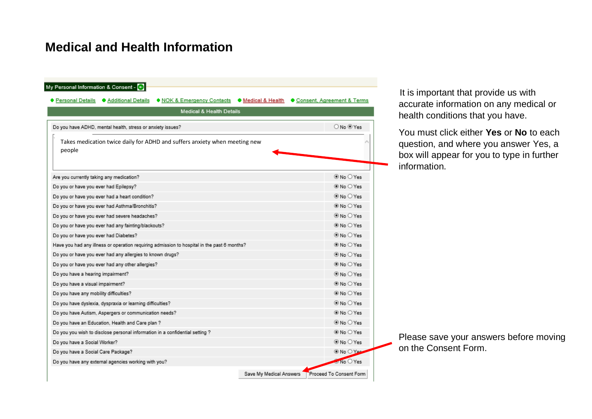### **Medical and Health Information**

| <b>Medical &amp; Health Details</b>                                                         |                |
|---------------------------------------------------------------------------------------------|----------------|
|                                                                                             |                |
| Do you have ADHD, mental health, stress or anxiety issues?                                  | ○ No ® Yes     |
| Takes medication twice daily for ADHD and suffers anxiety when meeting new<br>people        |                |
| Are you currently taking any medication?                                                    | ® No ○ Yes     |
| Do you or have you ever had Epilepsy?                                                       | ® No ○ Yes     |
| Do you or have you ever had a heart condition?                                              | ® No ○ Yes     |
| Do you or have you ever had Asthma/Bronchitis?                                              | ® No ○ Yes     |
| Do you or have you ever had severe headaches?                                               | $@$ No $O$ Yes |
| Do you or have you ever had any fainting/blackouts?                                         | ® No ○ Yes     |
| Do you or have you ever had Diabetes?                                                       | $@$ No $O$ Yes |
| Have you had any illness or operation requiring admission to hospital in the past 6 months? | ® No ○ Yes     |
| Do you or have you ever had any allergies to known drugs?                                   | $@$ No $O$ Yes |
| Do you or have you ever had any other allergies?                                            | ® No ○ Yes     |
| Do you have a hearing impairment?                                                           | ® No O Yes     |
| Do you have a visual impairment?                                                            | ® No ○ Yes     |
| Do you have any mobility difficulties?                                                      | ® No ○ Yes     |
| Do you have dyslexia, dyspraxia or learning difficulties?                                   | $@$ No $O$ Yes |
| Do you have Autism, Aspergers or communication needs?                                       | ® No ○ Yes     |
| Do you have an Education, Health and Care plan ?                                            | ® No ○ Yes     |
| Do you you wish to disclose personal information in a confidential setting ?                | ® No ○ Yes     |
| Do you have a Social Worker?                                                                | ® No ○ Yes     |
|                                                                                             | ® No ○ Yes     |

It is important that provide us with accurate information on any medical or health conditions that you have.

You must click either **Yes** or **No** to each question, and where you answer Yes, a box will appear for you to type in further information.

Please save your answers before moving on the Consent Form.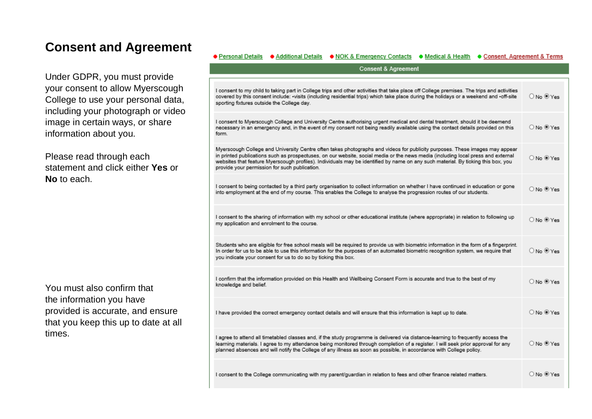### **Consent and Agreement**

Under GDPR, you must provide your consent to allow Myerscough College to use your personal data, including your photograph or video image in certain ways, or share information about you.

Please read through each statement and click either **Yes** or **No** to each.

You must also confirm that the information you have provided is accurate, and ensure that you keep this up to date at all times.

| ♦ Additional Details • NOK & Emergency Contacts • Medical & Health • Consent, Agreement & Terms<br>● Personal Details<br><b>Consent &amp; Agreement</b>                                                                                                                                                                                                                                                                                              |                    |
|------------------------------------------------------------------------------------------------------------------------------------------------------------------------------------------------------------------------------------------------------------------------------------------------------------------------------------------------------------------------------------------------------------------------------------------------------|--------------------|
|                                                                                                                                                                                                                                                                                                                                                                                                                                                      |                    |
| I consent to my child to taking part in College trips and other activities that take place off College premises. The trips and activities<br>covered by this consent include: -visits (including residential trips) which take place during the holidays or a weekend and -off-site<br>sporting fixtures outside the College day.                                                                                                                    | O No ® Yes         |
| I consent to Myerscough College and University Centre authorising urgent medical and dental treatment, should it be deemend<br>necessary in an emergency and, in the event of my consent not being readily available using the contact details provided on this<br>form.                                                                                                                                                                             | O No ® Yes         |
| Myerscough College and University Centre often takes photographs and videos for publicity purposes. These images may appear<br>in printed publications such as prospectuses, on our website, social media or the news media (including local press and external<br>websites that feature Myerscough profiles). Individuals may be identified by name on any such material. By ticking this box, you<br>provide your permission for such publication. | ONo ®Yes           |
| I consent to being contacted by a third party organisation to collect information on whether I have continued in education or gone<br>into employment at the end of my course. This enables the College to analyse the progression routes of our students.                                                                                                                                                                                           | O No ® Yes         |
| I consent to the sharing of information with my school or other educational institute (where appropriate) in relation to following up<br>my application and enrolment to the course.                                                                                                                                                                                                                                                                 | O No ® Yes         |
| Students who are eligible for free school meals will be required to provide us with biometric information in the form of a fingerprint.<br>In order for us to be able to use this information for the purposes of an automated biometric recognition system, we require that<br>you indicate your consent for us to do so by ticking this box.                                                                                                       | $0$ No $\odot$ Yes |
| I confirm that the information provided on this Health and Wellbeing Consent Form is accurate and true to the best of my<br>knowledge and belief.                                                                                                                                                                                                                                                                                                    | $O$ No $O$ Yes     |
| I have provided the correct emergency contact details and will ensure that this information is kept up to date.                                                                                                                                                                                                                                                                                                                                      | ONo ®Yes           |
| I agree to attend all timetabled classes and, if the study programme is delivered via distance-learning to frequently access the<br>learning materials. I agree to my attendance being monitored through completion of a register. I will seek prior approval for any<br>planned absences and will notify the College of any illness as soon as possible, in accordance with College policy.                                                         | O No ® Yes         |
| I consent to the College communicating with my parent/guardian in relation to fees and other finance related matters.                                                                                                                                                                                                                                                                                                                                | O No ® Yes         |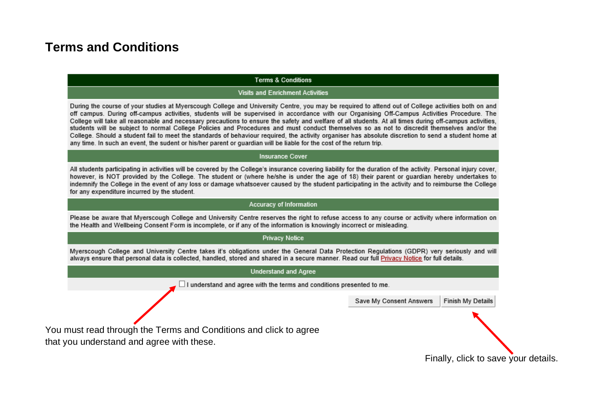### **Terms and Conditions**

#### **Terms & Conditions**

#### **Visits and Enrichment Activities**

During the course of your studies at Myerscough College and University Centre, you may be required to attend out of College activities both on and off campus. During off-campus activities, students will be supervised in accordance with our Organising Off-Campus Activities Procedure. The College will take all reasonable and necessary precautions to ensure the safety and welfare of all students. At all times during off-campus activities. students will be subject to normal College Policies and Procedures and must conduct themselves so as not to discredit themselves and/or the College. Should a student fail to meet the standards of behaviour required, the activity organiser has absolute discretion to send a student home at any time. In such an event, the sudent or his/her parent or quardian will be liable for the cost of the return trip.

#### **Insurance Cover**

All students participating in activities will be covered by the College's insurance covering liability for the duration of the activity. Personal injury cover, however, is NOT provided by the College. The student or (where he/she is under the age of 18) their parent or quardian hereby undertakes to indemnify the College in the event of any loss or damage whatsoever caused by the student participating in the activity and to reimburse the College for any expenditure incurred by the student.

#### Accuracy of Information

Please be aware that Myerscough College and University Centre reserves the right to refuse access to any course or activity where information on the Health and Wellbeing Consent Form is incomplete, or if any of the information is knowingly incorrect or misleading.

#### **Privacy Notice**

Myerscough College and University Centre takes it's obligations under the General Data Protection Regulations (GDPR) very seriously and will always ensure that personal data is collected, handled, stored and shared in a secure manner. Read our full Privacy Notice for full details.

#### **Understand and Agree**

 $\Box$  I understand and agree with the terms and conditions presented to me.

**Finish My Details** Save My Consent Answers

You must read through the Terms and Conditions and click to agree that you understand and agree with these.

Finally, click to save your details.